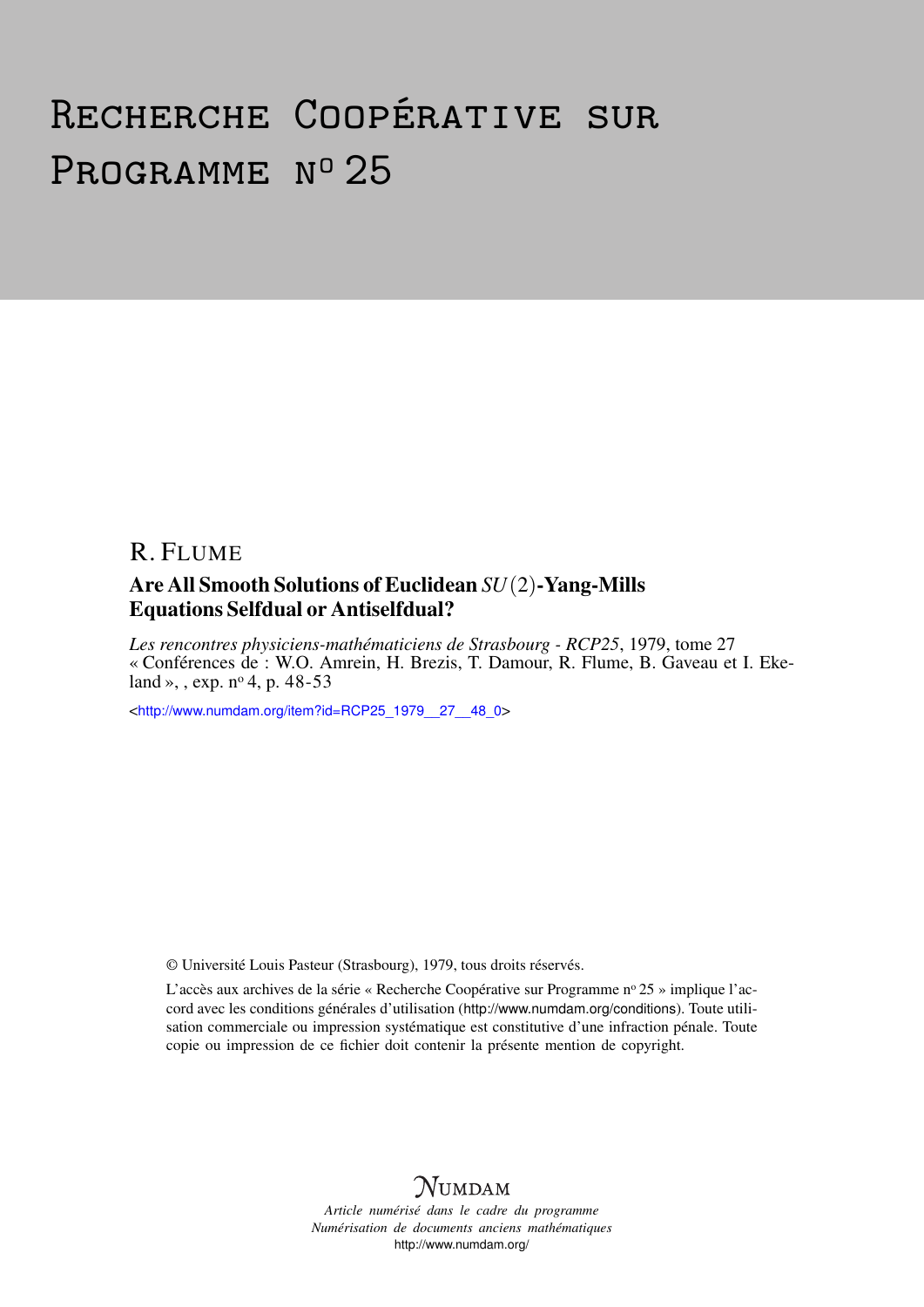## Recherche Coopérative sur PROGRAMME Nº 25

## R. FLUME Are All Smooth Solutions of Euclidean *SU*(2)-Yang-Mills Equations Selfdual or Antiselfdual?

*Les rencontres physiciens-mathématiciens de Strasbourg - RCP25*, 1979, tome 27 « Conférences de : W.O. Amrein, H. Brezis, T. Damour, R. Flume, B. Gaveau et I. Ekeland », , exp.  $n^{\circ}$  4, p. 48-53

<[http://www.numdam.org/item?id=RCP25\\_1979\\_\\_27\\_\\_48\\_0](http://www.numdam.org/item?id=RCP25_1979__27__48_0)>

© Université Louis Pasteur (Strasbourg), 1979, tous droits réservés.

L'accès aux archives de la série « Recherche Coopérative sur Programme nº 25 » implique l'accord avec les conditions générales d'utilisation (<http://www.numdam.org/conditions>). Toute utilisation commerciale ou impression systématique est constitutive d'une infraction pénale. Toute copie ou impression de ce fichier doit contenir la présente mention de copyright.



*Article numérisé dans le cadre du programme Numérisation de documents anciens mathématiques* <http://www.numdam.org/>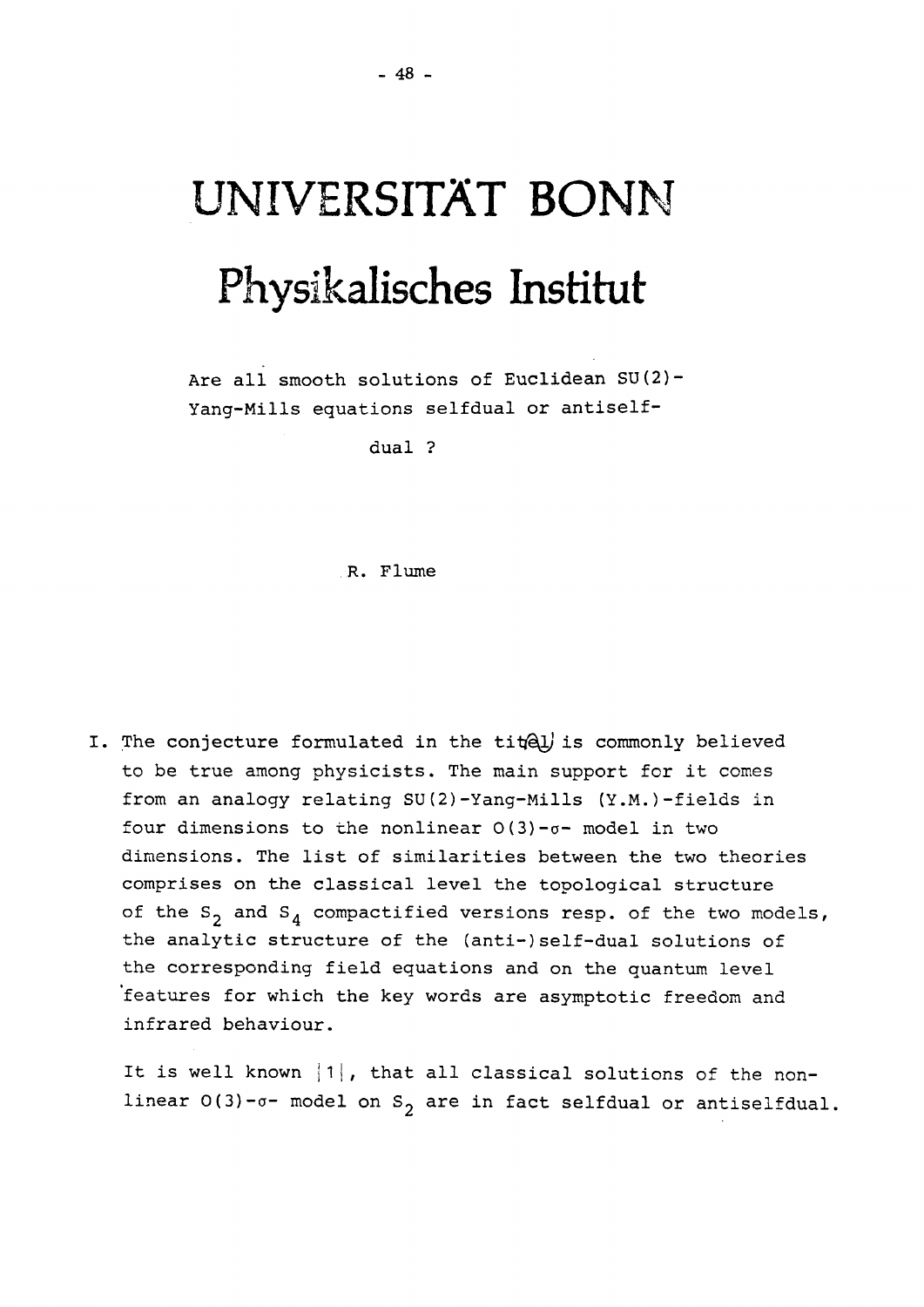## UNIVERSITAT BONN Physikalisches Institut

Are all smooth solutions of Euclidean SU(2)- Yang-Mills equations selfdual or antiself-

dual ?

R. Flume

I. The conjecture formulated in the *tit^J* is commonly believed to be true among physicists. The main support for it comes from an analogy relating SU(2)-Yang-Mills (Y.M.)-fields in four dimensions to the nonlinear  $O(3)$ - $\sigma$ - model in two dimensions. The list of similarities between the two theories comprises on the classical level the topological structure of the  $S_2$  and  $S_4$  compactified versions resp. of the two models, the analytic structure of the (anti-)self-dual solutions of the corresponding field equations and on the quantum level 'features for which the key words are asymptotic freedom and infrared behaviour.

It is well known |1|, that all classical solutions of the nonlinear  $0(3)$ - $\sigma$ - model on S<sub>2</sub> are in fact selfdual or antiselfdual.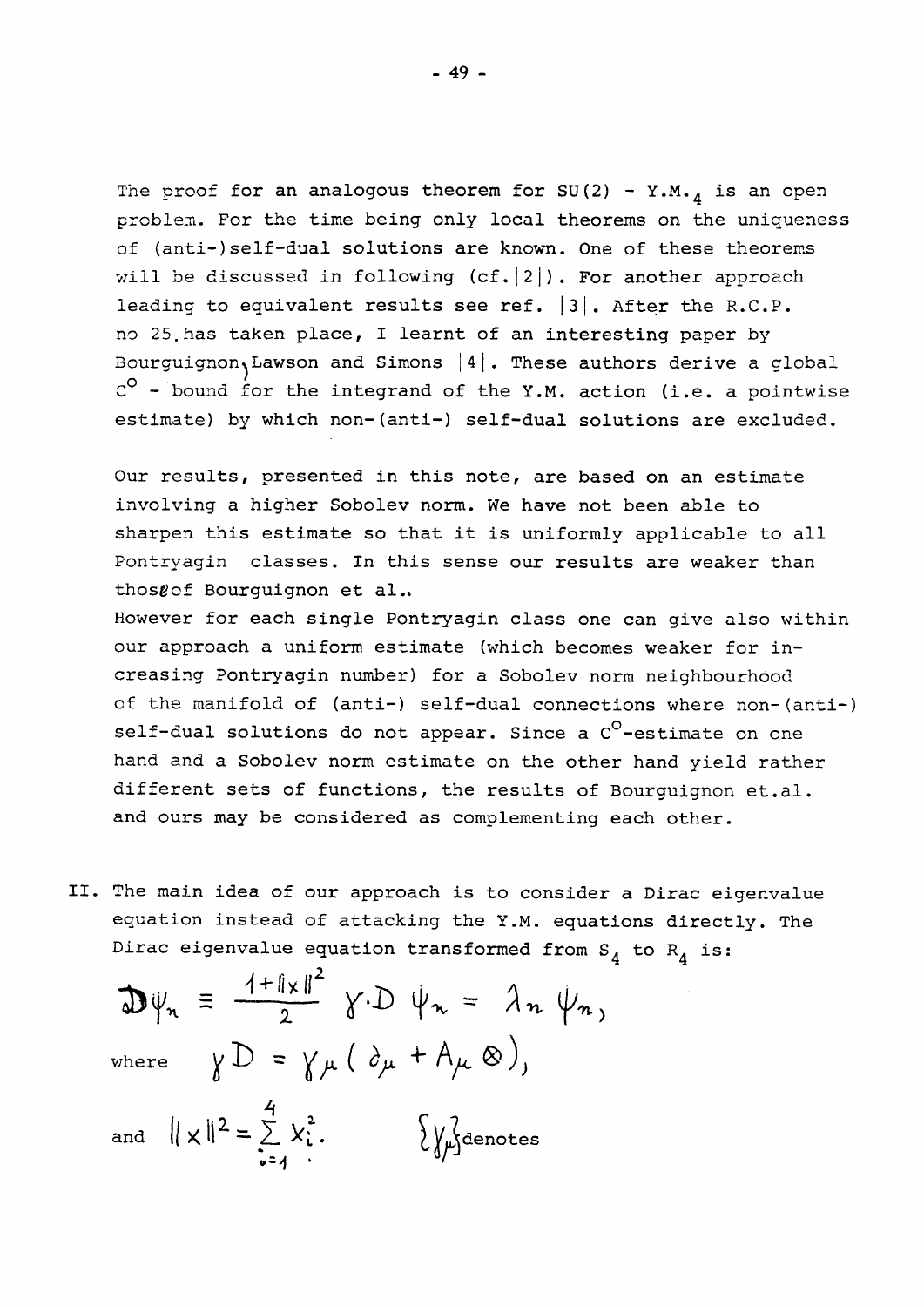The proof for an analogous theorem for SU(2) - Y.M.<sub>4</sub> is an open problem. For the time being only local theorems on the uniqueness of (anti-)self-dual solutions are known. One of these theorems will be discussed in following  $(cf.|2|)$ . For another approach leading to equivalent results see ref. |3|. After the R.C.P. no 25.has taken place, I learnt of an interesting paper by Bourguignon, Lawson and Simons  $|4|$ . These authors derive a global  $C^{\circ}$  - bound for the integrand of the Y.M. action (i.e. a pointwise estimate) by which non-(anti-) self-dual solutions are excluded.

Our results, presented in this note, are based on an estimate involving a higher Sobolev norm. We have not been able to sharpen this estimate so that it is uniformly applicable to all Pontryagin classes. In this sense our results are weaker than thosgof Bourguignon et al..

However for each single Pontryagin class one can give also within our approach a uniform estimate (which becomes weaker for increasing Pontryagin number) for a Sobolev norm neighbourhood of the manifold of (anti-) self-dual connections where non-(anti-) self-dual solutions do not appear. Since a C<sup>O</sup>-estimate on one hand and a Sobolev norm estimate on the other hand yield rather different sets of functions, the results of Bourguignon et.al. and ours may be considered as complementing each other.

II. The main idea of our approach is to consider a Dirac eigenvalue equation instead of attacking the Y.M. equations directly. The Dirac eigenvalue equation transformed from  $S_4$  to  $R_4$  is:

$$
\mathbf{D}\psi_n \equiv \frac{4 + ||\mathbf{x}||^2}{2} \quad \text{for } \psi_n = \lambda_n \quad \psi_n,
$$
\nwhere\n
$$
\gamma \mathbf{D} = \gamma_\mu \left( \partial_\mu + A_\mu \otimes \right),
$$
\nand\n
$$
||\mathbf{x}||^2 = \sum_{i=1}^4 x_i^2.
$$
\n
$$
\mathbf{y}_n
$$
\n
$$
\mathbf{y}_n
$$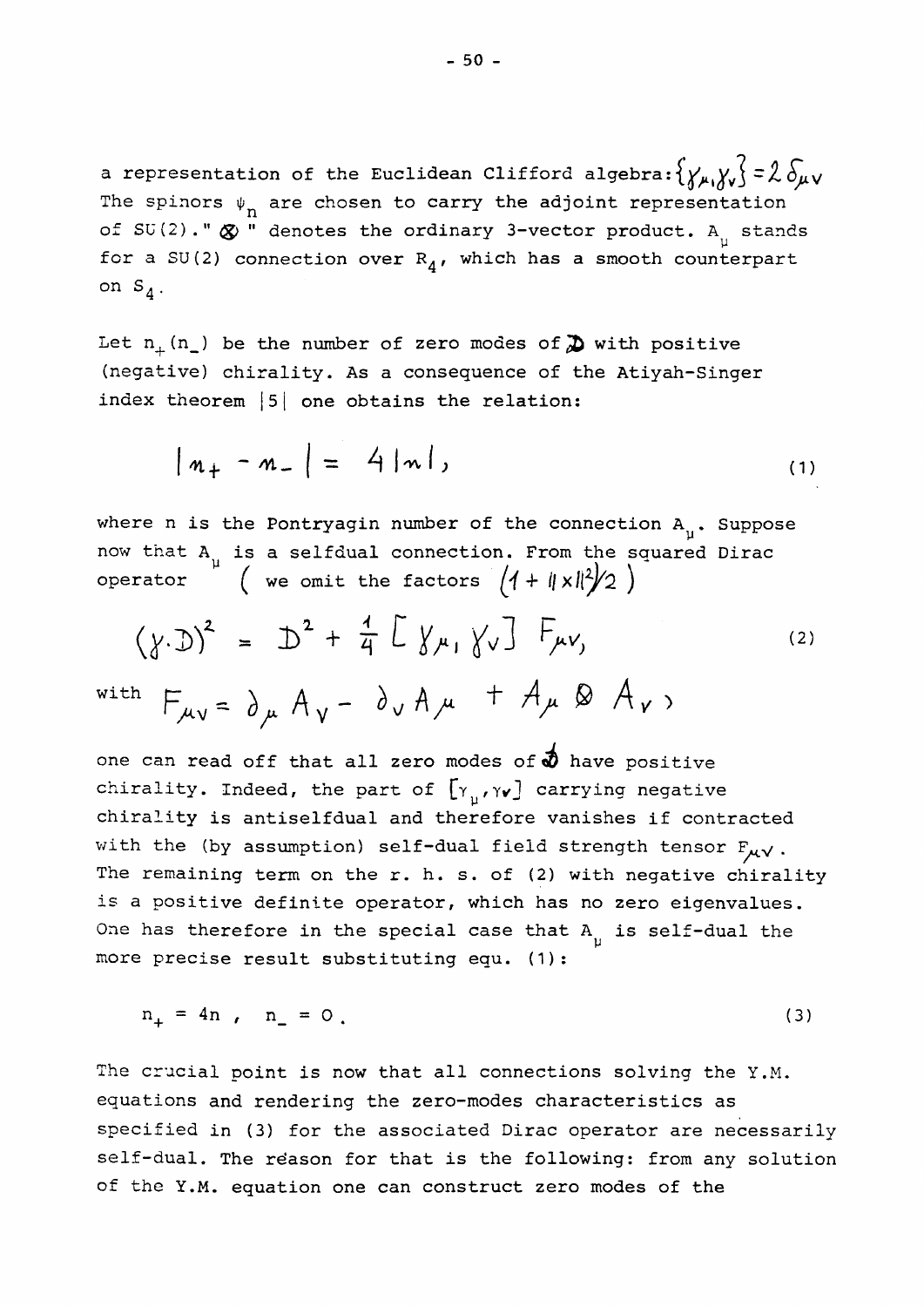a representation of the Euclidean Clifford algebra:  $\{y_{\mu},y_{\nu}\}=2\delta_{\mu\nu}$ The spinors  $\psi_n$  are chosen to carry the adjoint representation of SU(2)."  $\otimes$  " denotes the ordinary 3-vector product. A<sub>1</sub> stands for a SU(2) connection over  $R_4$ , which has a smooth counterpart on  $S_A$ .

Let  $n_{+}$  (n<sub>-</sub>) be the number of zero modes of  $\sum$  with positive (negative) chirality. As a consequence of the Atiyah-Singer index theorem |5| one obtains the relation:

$$
|n_{+} - n_{-}| = 4 |n|, \qquad (1)
$$

where n is the Pontryagin number of the connection  $A_{ij}$ . Suppose now that A<sub>,</sub> is a selfdual connection. From the squared Dirac operator ( we omit the factors

$$
(\gamma \cdot D)^{2} = D^{2} + \frac{1}{4} \left[ \gamma_{\mu_{1}} \gamma_{\nu} \right] F_{\mu\nu_{1}} \qquad (2)
$$

with  $H_{\mu\nu} = \partial_{\mu} A_{\nu} - \partial_{\nu} A_{\mu} + \pi_{\mu} \otimes \pi_{\nu}$ 

one can read off that all zero modes of  $\phi$  have positive chirality. Indeed, the part of  $[\gamma_{\mu}, \gamma_{\nu}]$  carrying negative chirality is antiselfdual and therefore vanishes if contracted with the (by assumption) self-dual field strength tensor  $F_{\mu\nu}$ . The remaining term on the r. h. s. of (2) with negative chirality is a positive definite operator, which has no zero eigenvalues. One has therefore in the special case that  $A_{ij}$  is self-dual the more precise result substituting equ. (1):

$$
n_{+} = 4n , n_{-} = 0 . \tag{3}
$$

The crucial point is now that all connections solving the Y.M. equations and rendering the zero-modes characteristics as specified in (3) for the associated Dirac operator are necessarily self-dual. The reason for that is the following: from any solution of the Y.M. equation one can construct zero modes of the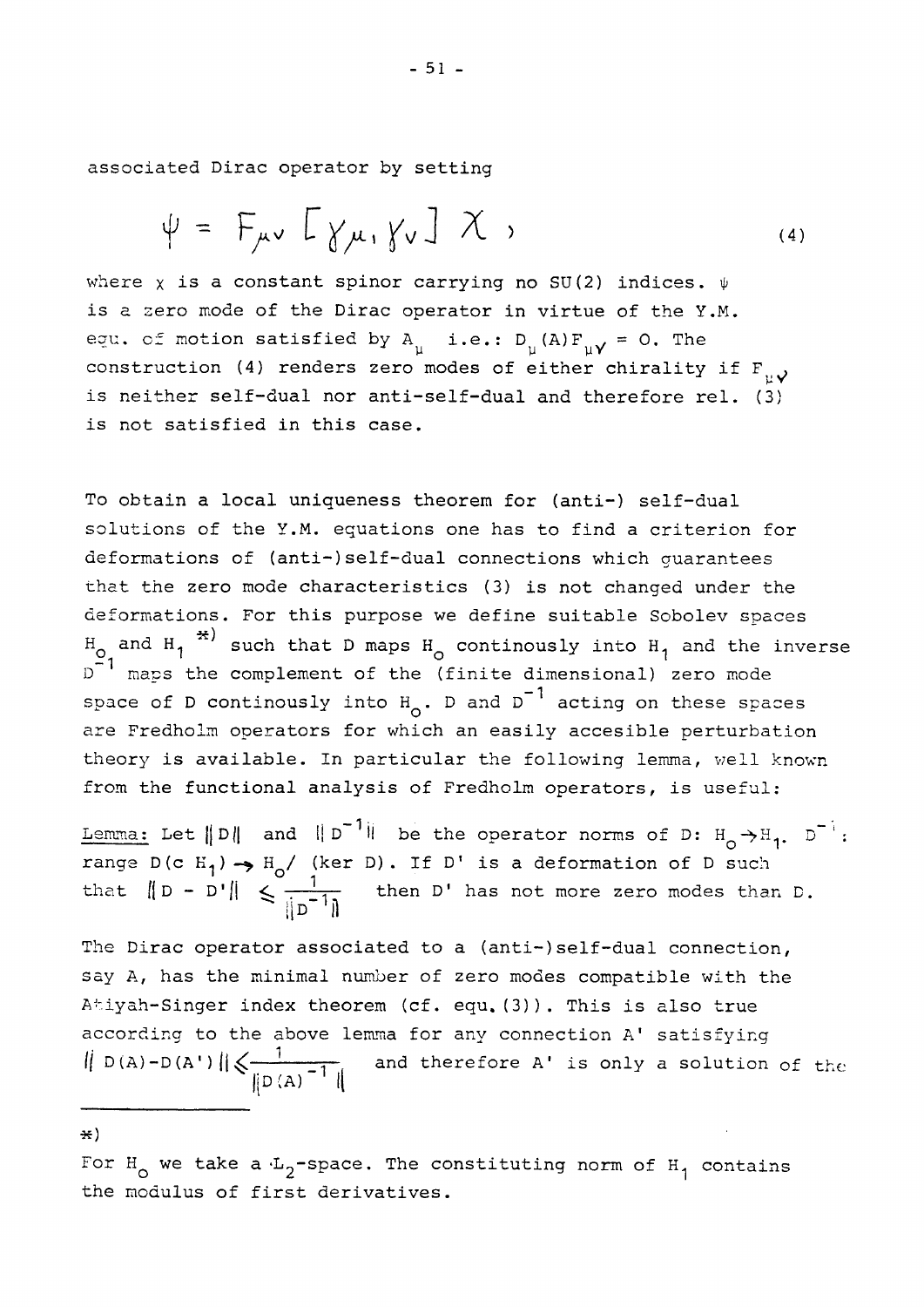associated Dirac operator by setting

$$
\psi = F_{\mu\nu} \left[ \gamma_{\mu}, \gamma_{\nu} \right] \chi , \qquad (4)
$$

where x is a constant spinor carrying no SU(2) indices.  $\psi$ is a zero mode of the Dirac operator in virtue of the Y.M. equ. of motion satisfied by  $A_{ij}$  i.e.:  $D_{ij}(A) F_{ij} = 0$ . The construction (4) renders zero modes of either chirality if  $F_{1,2}$ is neither self-dual nor anti-self-dual and therefore rel. (3) is not satisfied in this case.

To obtain a local uniqueness theorem for (anti-) self-dual solutions of the Y.M. equations one has to find a criterion for deformations of (anti-)self-dual connections which guarantees that the zero mode characteristics (3) is not changed under the deformations. For this purpose we define suitable Sobolev spaces  $H_0$  and  $H_1$ <sup>\*</sup> such that D maps  $H_0$  continously into  $H_1$  and the inverse  $D^{-1}$  maps the complement of the (finite dimensional) zero mode space of D continously into  $H_0$ . D and  $D^{-1}$  acting on these spaces are Fredholm operators for which an easily accesible perturbation theory is available. In particular the following lemma, well known from the functional analysis of Fredholm operators, is useful:

Lemma: Let  $\|D\|$  and  $\|D\|$  be the operator norms of D:  $H_{\alpha} \rightarrow H_{1}$ .  $D^{-1}$ : range  $D(c H_1) \rightarrow H_0 /$  (ker D). If D' is a deformation of D such that  $\|D - D'\| \leq \frac{1}{\sqrt{2}}$  then D' has not more zero modes than D.  $\parallel$ D $\parallel$  11

The Dirac operator associated to a (anti-)self-dual connection, say A, has the minimal number of zero modes compatible with the Atiyah-Singer index theorem (cf. equ. (3)). This is also true according to the above lemma for any connection A' satisfying  $\| D(A) - D(A') \|$  $\leq$   $\frac{1}{\sqrt{1-\frac{1}{1-\frac{1}{1-\frac{1}{1-\frac{1}{1-\frac{1}{1-\frac{1}{1-\frac{1}{1-\frac{1}{1-\frac{1}{1-\frac{1}{1-\frac{1}{1-\frac{1}{1-\frac{1}{1-\frac{1}{1-\frac{1}{1-\frac{1}{1-\frac{1}{1-\frac{1}{1-\frac{1}{1-\frac{1}{1-\frac{1}{1-\frac{1}{1-\frac{1}{1-\frac{1}{1-\frac{1}{1-\frac{1}{1-\frac{1}{1-\frac{1}{1-\frac{1}{1-\frac{1}{1-\frac{1}{1-\frac{1}{1-\$  $\parallel$ D $(A)$   $\parallel$ 

\*)

For  $H_0$  we take a  $L_2$ -space. The constituting norm of  $H_1$  contains the modulus of first derivatives.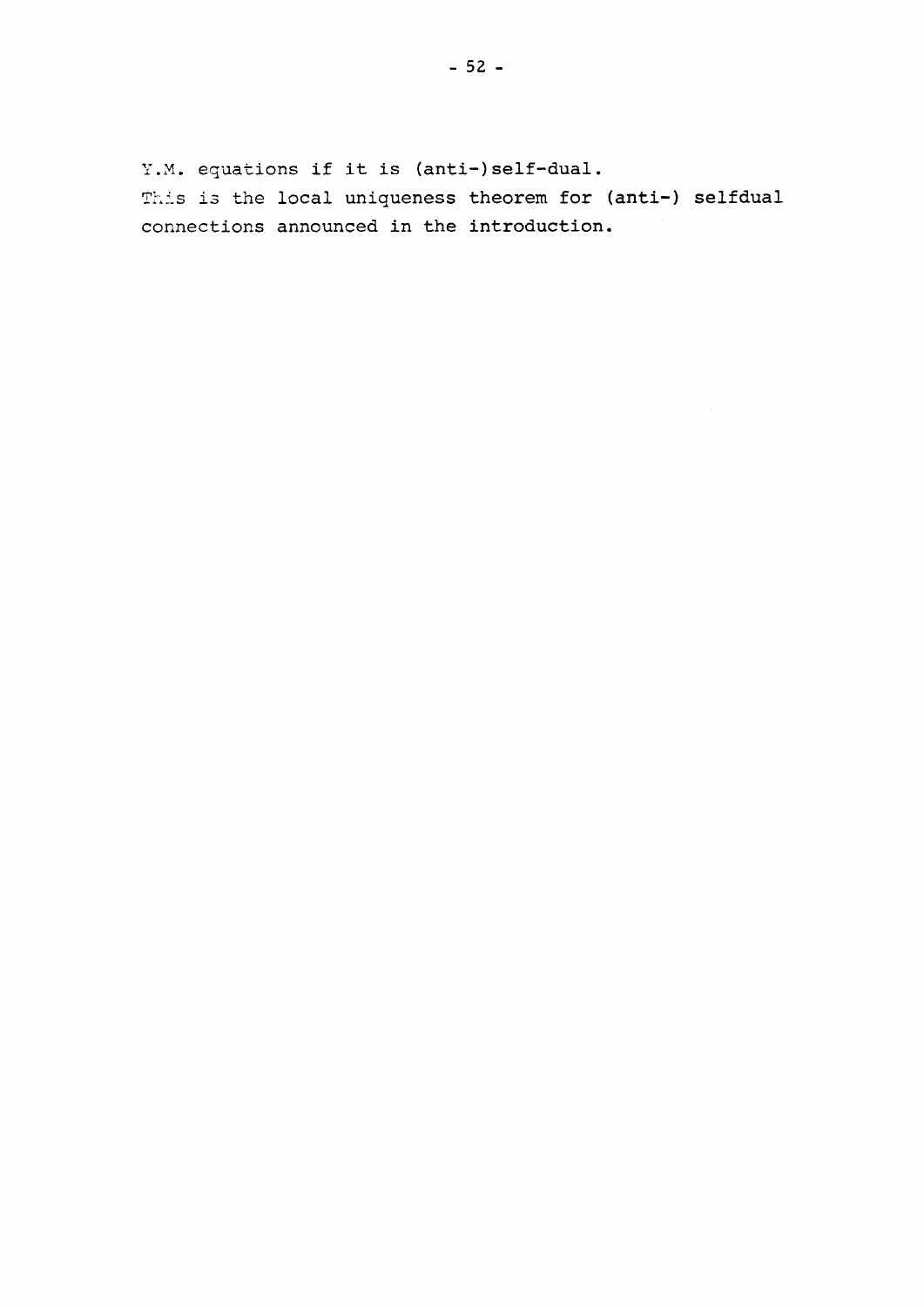Y.M. equations if it is (anti-)self-dual. This is the local uniqueness theorem for (anti-) selfdual connections announced in the introduction.